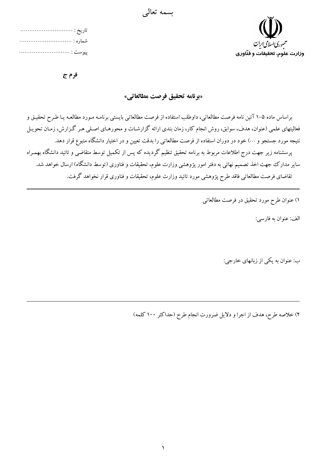



فرم ج

«برنامه تحقيق فرصت مطالعاتي»

براساس ماده ۵–۱ آئین نامه فرصت مطالعاتی، داوطلب استفاده از فرصت مطالعاتی بایستی برنامـه مـورد مطالعـه یـا طـرح تحقیـق و فعالیتهای علمی (عنوان، هدف، سوابق، روش انجام کار، زمان بندی ارائه گزارشـات و محورهـای اصـلی هـر گـزارش، زمـان تحويـل نتیجه مورد جستجو و …) خود در دوران استفاده از فرصت مطالعات<sub>ی</sub> را بدقت تعیین و در اختیار دانشگاه متبوع قرار دهد. پرسشنامه زیر جهت درج اطلاعات مربوط به برنامه تحقیق تنظیم گردیده که پس از تکمیل توسط متقاضی و تائید دانشگاه بهمـراه سایر مدارک جهت اخذ تصمیم نهائی به دفتر امور پژوهشی وزارت علوم، تحقیقات و فناوری (توسط دانشگاه) ارسال خواهد شد. تقاضای فرصت مطالعاتی فاقد طرح پژوهشی مورد تائید وزارت علوم، تحقیقات و فناوری قرار نخواهد گرفت.

١) عنوان طرح مورد تحقيق در فرصت مطالعاتي

الف: عنوان به فارسي:

ب: عنوان به یکی از زبانهای خارجی:

٢) خلاصه طرح، هدف از اجرا و دلایل ضرورت انجام طرح (حداکثر ١٠٠ کلمه)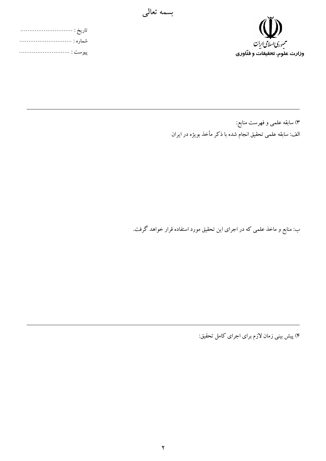

۳) سابقه علمی و فهرست منابع: الف: سابقه علمی تحقیق انجام شده با ذکر مأخذ بویژه در ایران

ب: منابع و ماخذ علمی که در اجرای این تحقیق مورد استفاده قرار خواهد گرفت.

۴) پیش بینی زمان لازم برای اجرای کامل تحقیق:

بسمه تعالى